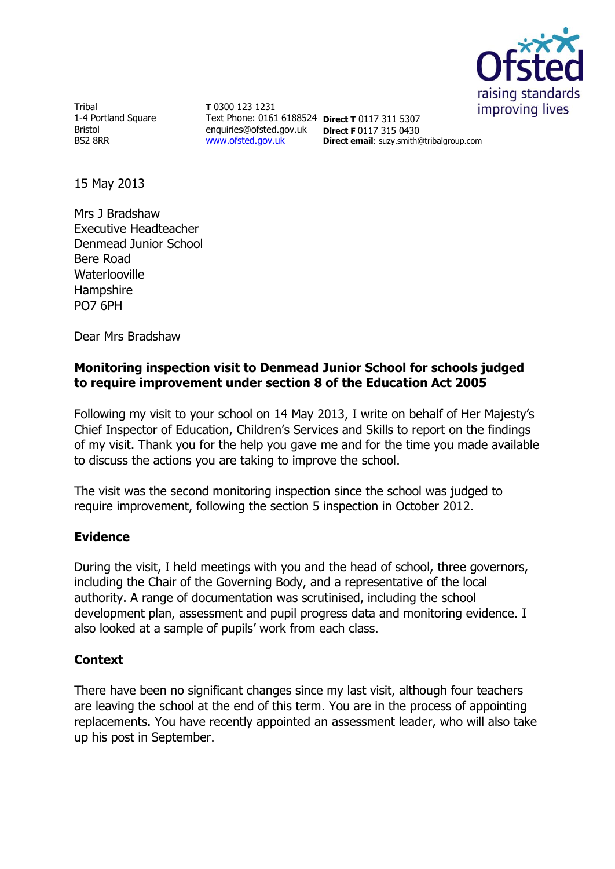

Tribal 1-4 Portland Square Bristol BS2 8RR

**T** 0300 123 1231 Text Phone: 0161 6188524 **Direct T** 0117 311 5307 enquiries@ofsted.gov.uk **Direct F** 0117 315 0430 [www.ofsted.gov.uk](http://www.ofsted.gov.uk/)

**Direct email**: suzy.smith@tribalgroup.com

15 May 2013

Mrs J Bradshaw Executive Headteacher Denmead Junior School Bere Road Waterlooville **Hampshire** PO7 6PH

Dear Mrs Bradshaw

## **Monitoring inspection visit to Denmead Junior School for schools judged to require improvement under section 8 of the Education Act 2005**

Following my visit to your school on 14 May 2013, I write on behalf of Her Majesty's Chief Inspector of Education, Children's Services and Skills to report on the findings of my visit. Thank you for the help you gave me and for the time you made available to discuss the actions you are taking to improve the school.

The visit was the second monitoring inspection since the school was judged to require improvement, following the section 5 inspection in October 2012.

### **Evidence**

During the visit, I held meetings with you and the head of school, three governors, including the Chair of the Governing Body, and a representative of the local authority. A range of documentation was scrutinised, including the school development plan, assessment and pupil progress data and monitoring evidence. I also looked at a sample of pupils' work from each class.

# **Context**

There have been no significant changes since my last visit, although four teachers are leaving the school at the end of this term. You are in the process of appointing replacements. You have recently appointed an assessment leader, who will also take up his post in September.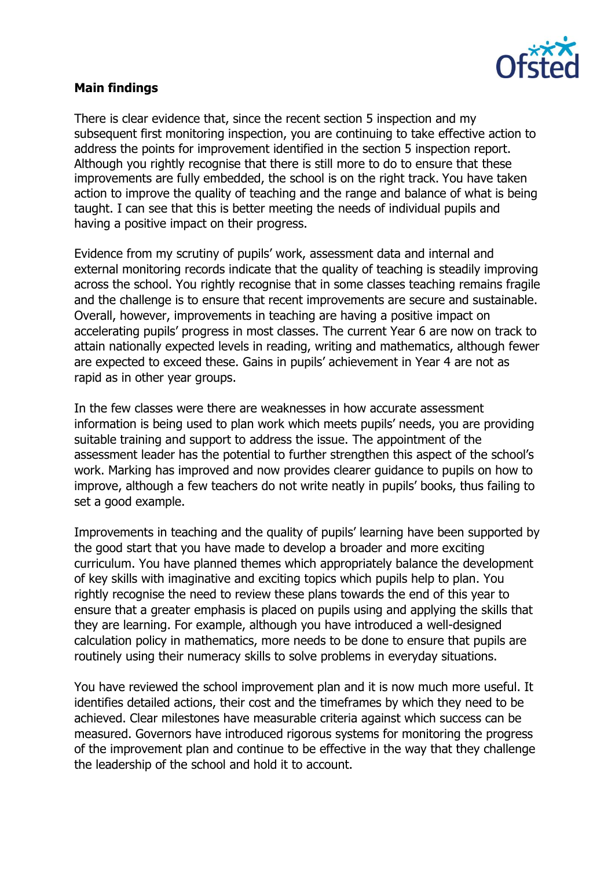

### **Main findings**

There is clear evidence that, since the recent section 5 inspection and my subsequent first monitoring inspection, you are continuing to take effective action to address the points for improvement identified in the section 5 inspection report. Although you rightly recognise that there is still more to do to ensure that these improvements are fully embedded, the school is on the right track. You have taken action to improve the quality of teaching and the range and balance of what is being taught. I can see that this is better meeting the needs of individual pupils and having a positive impact on their progress.

Evidence from my scrutiny of pupils' work, assessment data and internal and external monitoring records indicate that the quality of teaching is steadily improving across the school. You rightly recognise that in some classes teaching remains fragile and the challenge is to ensure that recent improvements are secure and sustainable. Overall, however, improvements in teaching are having a positive impact on accelerating pupils' progress in most classes. The current Year 6 are now on track to attain nationally expected levels in reading, writing and mathematics, although fewer are expected to exceed these. Gains in pupils' achievement in Year 4 are not as rapid as in other year groups.

In the few classes were there are weaknesses in how accurate assessment information is being used to plan work which meets pupils' needs, you are providing suitable training and support to address the issue. The appointment of the assessment leader has the potential to further strengthen this aspect of the school's work. Marking has improved and now provides clearer guidance to pupils on how to improve, although a few teachers do not write neatly in pupils' books, thus failing to set a good example.

Improvements in teaching and the quality of pupils' learning have been supported by the good start that you have made to develop a broader and more exciting curriculum. You have planned themes which appropriately balance the development of key skills with imaginative and exciting topics which pupils help to plan. You rightly recognise the need to review these plans towards the end of this year to ensure that a greater emphasis is placed on pupils using and applying the skills that they are learning. For example, although you have introduced a well-designed calculation policy in mathematics, more needs to be done to ensure that pupils are routinely using their numeracy skills to solve problems in everyday situations.

You have reviewed the school improvement plan and it is now much more useful. It identifies detailed actions, their cost and the timeframes by which they need to be achieved. Clear milestones have measurable criteria against which success can be measured. Governors have introduced rigorous systems for monitoring the progress of the improvement plan and continue to be effective in the way that they challenge the leadership of the school and hold it to account.